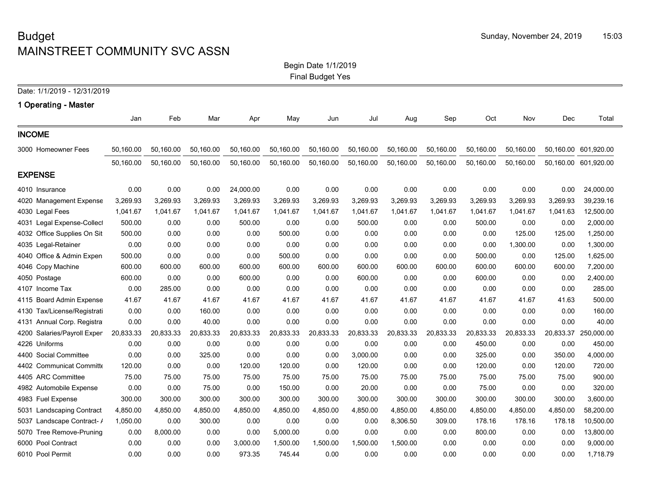#### Begin Date 1/1/2019 Final Budget Yes

|                                   |           |           |           |           |           | Final Budget Yes |           |           |           |           |           |           |                      |
|-----------------------------------|-----------|-----------|-----------|-----------|-----------|------------------|-----------|-----------|-----------|-----------|-----------|-----------|----------------------|
| Date: 1/1/2019 - 12/31/2019       |           |           |           |           |           |                  |           |           |           |           |           |           |                      |
| 1 Operating - Master              |           |           |           |           |           |                  |           |           |           |           |           |           |                      |
|                                   | Jan       | Feb       | Mar       | Apr       | May       | Jun              | Jul       | Aug       | Sep       | Oct       | Nov       | Dec       | Total                |
| <b>INCOME</b>                     |           |           |           |           |           |                  |           |           |           |           |           |           |                      |
| 3000 Homeowner Fees               | 50,160.00 | 50,160.00 | 50,160.00 | 50,160.00 | 50,160.00 | 50,160.00        | 50,160.00 | 50,160.00 | 50,160.00 | 50,160.00 | 50,160.00 |           | 50,160.00 601,920.00 |
|                                   | 50,160.00 | 50,160.00 | 50,160.00 | 50,160.00 | 50,160.00 | 50,160.00        | 50,160.00 | 50,160.00 | 50,160.00 | 50,160.00 | 50,160.00 |           | 50,160.00 601,920.00 |
| <b>EXPENSE</b>                    |           |           |           |           |           |                  |           |           |           |           |           |           |                      |
| 4010 Insurance                    | 0.00      | 0.00      | 0.00      | 24,000.00 | 0.00      | 0.00             | 0.00      | 0.00      | 0.00      | 0.00      | 0.00      | 0.00      | 24,000.00            |
| 4020<br><b>Management Expense</b> | 3,269.93  | 3,269.93  | 3,269.93  | 3,269.93  | 3,269.93  | 3,269.93         | 3,269.93  | 3,269.93  | 3,269.93  | 3,269.93  | 3,269.93  | 3,269.93  | 39,239.16            |
| 4030 Legal Fees                   | 1,041.67  | 1,041.67  | 1,041.67  | 1,041.67  | 1,041.67  | 1,041.67         | 1,041.67  | 1,041.67  | 1,041.67  | 1,041.67  | 1,041.67  | 1,041.63  | 12,500.00            |
| Legal Expense-Collect<br>4031     | 500.00    | 0.00      | 0.00      | 500.00    | 0.00      | 0.00             | 500.00    | 0.00      | 0.00      | 500.00    | 0.00      | 0.00      | 2,000.00             |
| Office Supplies On Sit<br>4032    | 500.00    | 0.00      | 0.00      | 0.00      | 500.00    | 0.00             | 0.00      | 0.00      | 0.00      | 0.00      | 125.00    | 125.00    | 1,250.00             |
| 4035 Legal-Retainer               | 0.00      | 0.00      | 0.00      | 0.00      | 0.00      | 0.00             | 0.00      | 0.00      | 0.00      | 0.00      | 1,300.00  | 0.00      | 1,300.00             |
| Office & Admin Expen<br>4040      | 500.00    | 0.00      | 0.00      | 0.00      | 500.00    | 0.00             | 0.00      | 0.00      | 0.00      | 500.00    | 0.00      | 125.00    | 1,625.00             |
| 4046 Copy Machine                 | 600.00    | 600.00    | 600.00    | 600.00    | 600.00    | 600.00           | 600.00    | 600.00    | 600.00    | 600.00    | 600.00    | 600.00    | 7,200.00             |
| 4050<br>Postage                   | 600.00    | 0.00      | 0.00      | 600.00    | 0.00      | 0.00             | 600.00    | 0.00      | 0.00      | 600.00    | 0.00      | 0.00      | 2,400.00             |
| 4107 Income Tax                   | 0.00      | 285.00    | 0.00      | 0.00      | 0.00      | 0.00             | 0.00      | 0.00      | 0.00      | 0.00      | 0.00      | 0.00      | 285.00               |
| 4115 Board Admin Expense          | 41.67     | 41.67     | 41.67     | 41.67     | 41.67     | 41.67            | 41.67     | 41.67     | 41.67     | 41.67     | 41.67     | 41.63     | 500.00               |
| Tax/License/Registrati<br>4130    | 0.00      | 0.00      | 160.00    | 0.00      | 0.00      | 0.00             | 0.00      | 0.00      | 0.00      | 0.00      | 0.00      | 0.00      | 160.00               |
| Annual Corp. Registra<br>4131     | 0.00      | 0.00      | 40.00     | 0.00      | 0.00      | 0.00             | 0.00      | 0.00      | 0.00      | 0.00      | 0.00      | 0.00      | 40.00                |
| 4200<br>Salaries/Payroll Exper    | 20,833.33 | 20,833.33 | 20,833.33 | 20,833.33 | 20,833.33 | 20,833.33        | 20,833.33 | 20,833.33 | 20,833.33 | 20,833.33 | 20,833.33 | 20,833.37 | 250,000.00           |
| 4226 Uniforms                     | 0.00      | 0.00      | 0.00      | 0.00      | 0.00      | 0.00             | 0.00      | 0.00      | 0.00      | 450.00    | 0.00      | 0.00      | 450.00               |
| 4400<br><b>Social Committee</b>   | 0.00      | 0.00      | 325.00    | 0.00      | 0.00      | 0.00             | 3,000.00  | 0.00      | 0.00      | 325.00    | 0.00      | 350.00    | 4,000.00             |
| 4402 Communicat Committe          | 120.00    | 0.00      | 0.00      | 120.00    | 120.00    | 0.00             | 120.00    | 0.00      | 0.00      | 120.00    | 0.00      | 120.00    | 720.00               |

4405 ARC Committee 75.00 75.00 75.00 75.00 75.00 75.00 75.00 75.00 75.00 75.00 75.00 75.00 900.00 4982 Automobile Expense 0.00 0.00 75.00 0.00 150.00 0.00 20.00 0.00 0.00 75.00 0.00 0.00 320.00 4983 Fuel Expense 300.00 300.00 300.00 300.00 300.00 300.00 300.00 300.00 300.00 300.00 300.00 300.00 3,600.00 5031 Landscaping Contract 4,850.00 4,850.00 4,850.00 4,850.00 4,850.00 4,850.00 4,850.00 4,850.00 4,850.00 4,850.00 4,850.00 4,850.00 58,200.00 5037 Landscape Contract- Addtnl 1,050.00 0.00 300.00 0.00 0.00 0.00 0.00 8,306.50 309.00 178.16 178.16 178.18 10,500.00 5070 Tree Remove-Pruning 0.00 8,000.00 0.00 0.00 5,000.00 0.00 0.00 0.00 0.00 800.00 0.00 0.00 13,800.00 6000 Pool Contract 0.00 0.00 0.00 3,000.00 1,500.00 1,500.00 1,500.00 1,500.00 0.00 0.00 0.00 0.00 9,000.00 6010 Pool Permit 0.00 0.00 0.00 973.35 745.44 0.00 0.00 0.00 0.00 0.00 0.00 0.00 1,718.79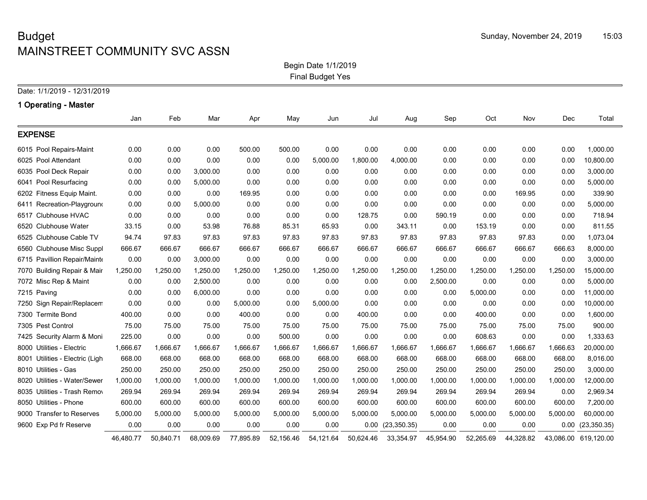Begin Date 1/1/2019 Final Budget Yes

### **1 Operating - Master**

|                                 | Jan       | Feb       | Mar       | Apr       | May       | Jun       | Jul       | Aug          | Sep       | Oct       | Nov       | Dec      | Total                |
|---------------------------------|-----------|-----------|-----------|-----------|-----------|-----------|-----------|--------------|-----------|-----------|-----------|----------|----------------------|
| <b>EXPENSE</b>                  |           |           |           |           |           |           |           |              |           |           |           |          |                      |
| 6015 Pool Repairs-Maint         | 0.00      | 0.00      | 0.00      | 500.00    | 500.00    | 0.00      | 0.00      | 0.00         | 0.00      | 0.00      | 0.00      | 0.00     | 1,000.00             |
| 6025 Pool Attendant             | 0.00      | 0.00      | 0.00      | 0.00      | 0.00      | 5,000.00  | 1,800.00  | 4,000.00     | 0.00      | 0.00      | 0.00      | 0.00     | 10,800.00            |
| 6035 Pool Deck Repair           | 0.00      | 0.00      | 3,000.00  | 0.00      | 0.00      | 0.00      | 0.00      | 0.00         | 0.00      | 0.00      | 0.00      | 0.00     | 3,000.00             |
| 6041 Pool Resurfacing           | 0.00      | 0.00      | 5,000.00  | 0.00      | 0.00      | 0.00      | 0.00      | 0.00         | 0.00      | 0.00      | 0.00      | 0.00     | 5,000.00             |
| 6202 Fitness Equip Maint.       | 0.00      | 0.00      | 0.00      | 169.95    | 0.00      | 0.00      | 0.00      | 0.00         | 0.00      | 0.00      | 169.95    | 0.00     | 339.90               |
| 6411 Recreation-Playground      | 0.00      | 0.00      | 5,000.00  | 0.00      | 0.00      | 0.00      | 0.00      | 0.00         | 0.00      | 0.00      | 0.00      | 0.00     | 5,000.00             |
| 6517 Clubhouse HVAC             | 0.00      | 0.00      | 0.00      | 0.00      | 0.00      | 0.00      | 128.75    | 0.00         | 590.19    | 0.00      | 0.00      | 0.00     | 718.94               |
| 6520 Clubhouse Water            | 33.15     | 0.00      | 53.98     | 76.88     | 85.31     | 65.93     | 0.00      | 343.11       | 0.00      | 153.19    | 0.00      | 0.00     | 811.55               |
| 6525 Clubhouse Cable TV         | 94.74     | 97.83     | 97.83     | 97.83     | 97.83     | 97.83     | 97.83     | 97.83        | 97.83     | 97.83     | 97.83     | 0.00     | 1,073.04             |
| 6560 Clubhouse Misc Suppl       | 666.67    | 666.67    | 666.67    | 666.67    | 666.67    | 666.67    | 666.67    | 666.67       | 666.67    | 666.67    | 666.67    | 666.63   | 8,000.00             |
| 6715 Pavillion Repair/Mainte    | 0.00      | 0.00      | 3,000.00  | 0.00      | 0.00      | 0.00      | 0.00      | 0.00         | 0.00      | 0.00      | 0.00      | 0.00     | 3,000.00             |
| 7070 Building Repair & Mair     | 1,250.00  | 1,250.00  | 1,250.00  | 1,250.00  | 1,250.00  | 1,250.00  | 1,250.00  | 1,250.00     | 1,250.00  | 1,250.00  | 1,250.00  | 1,250.00 | 15,000.00            |
| 7072 Misc Rep & Maint           | 0.00      | 0.00      | 2,500.00  | 0.00      | 0.00      | 0.00      | 0.00      | 0.00         | 2,500.00  | 0.00      | 0.00      | 0.00     | 5,000.00             |
| 7215 Paving                     | 0.00      | 0.00      | 6,000.00  | 0.00      | 0.00      | 0.00      | 0.00      | 0.00         | 0.00      | 5,000.00  | 0.00      | 0.00     | 11,000.00            |
| 7250 Sign Repair/Replacem       | 0.00      | 0.00      | 0.00      | 5,000.00  | 0.00      | 5,000.00  | 0.00      | 0.00         | 0.00      | 0.00      | 0.00      | 0.00     | 10,000.00            |
| 7300 Termite Bond               | 400.00    | 0.00      | 0.00      | 400.00    | 0.00      | 0.00      | 400.00    | 0.00         | 0.00      | 400.00    | 0.00      | 0.00     | 1,600.00             |
| 7305 Pest Control               | 75.00     | 75.00     | 75.00     | 75.00     | 75.00     | 75.00     | 75.00     | 75.00        | 75.00     | 75.00     | 75.00     | 75.00    | 900.00               |
| 7425 Security Alarm & Moni      | 225.00    | 0.00      | 0.00      | 0.00      | 500.00    | 0.00      | 0.00      | 0.00         | 0.00      | 608.63    | 0.00      | 0.00     | 1,333.63             |
| 8000 Utilities - Electric       | 1,666.67  | 1,666.67  | 1,666.67  | 1,666.67  | 1,666.67  | 1,666.67  | 1,666.67  | 1,666.67     | 1,666.67  | 1,666.67  | 1,666.67  | 1,666.63 | 20,000.00            |
| 8001 Utilities - Electric (Ligh | 668.00    | 668.00    | 668.00    | 668.00    | 668.00    | 668.00    | 668.00    | 668.00       | 668.00    | 668.00    | 668.00    | 668.00   | 8,016.00             |
| 8010 Utilities - Gas            | 250.00    | 250.00    | 250.00    | 250.00    | 250.00    | 250.00    | 250.00    | 250.00       | 250.00    | 250.00    | 250.00    | 250.00   | 3,000.00             |
| 8020 Utilities - Water/Sewer    | 1,000.00  | 1,000.00  | 1,000.00  | 1,000.00  | 1,000.00  | 1,000.00  | 1,000.00  | 1,000.00     | 1,000.00  | 1,000.00  | 1,000.00  | 1,000.00 | 12,000.00            |
| 8035 Utilities - Trash Remov    | 269.94    | 269.94    | 269.94    | 269.94    | 269.94    | 269.94    | 269.94    | 269.94       | 269.94    | 269.94    | 269.94    | 0.00     | 2,969.34             |
| 8050 Utilities - Phone          | 600.00    | 600.00    | 600.00    | 600.00    | 600.00    | 600.00    | 600.00    | 600.00       | 600.00    | 600.00    | 600.00    | 600.00   | 7,200.00             |
| 9000 Transfer to Reserves       | 5,000.00  | 5,000.00  | 5,000.00  | 5,000.00  | 5,000.00  | 5,000.00  | 5,000.00  | 5,000.00     | 5,000.00  | 5,000.00  | 5,000.00  | 5,000.00 | 60,000.00            |
| 9600 Exp Pd fr Reserve          | 0.00      | 0.00      | 0.00      | 0.00      | 0.00      | 0.00      | 0.00      | (23, 350.35) | 0.00      | 0.00      | 0.00      |          | $0.00$ $(23,350.35)$ |
|                                 | 46,480.77 | 50.840.71 | 68,009.69 | 77.895.89 | 52,156.46 | 54,121.64 | 50,624.46 | 33,354.97    | 45,954.90 | 52,265.69 | 44,328.82 |          | 43,086.00 619,120.00 |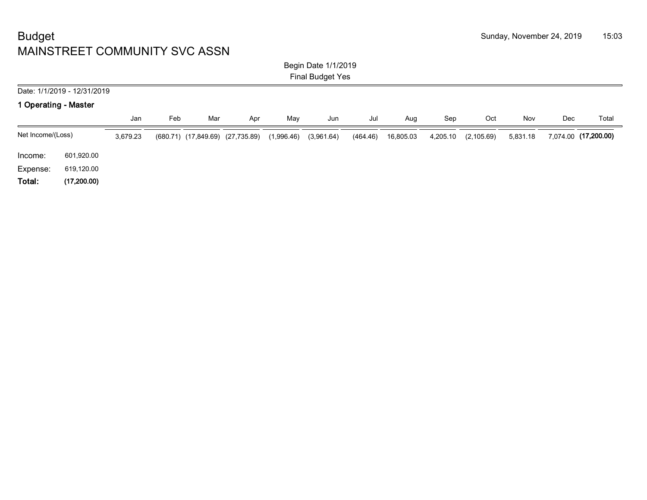#### Begin Date 1/1/2019 Final Budget Yes

# Date: 1/1/2019 - 12/31/2019 **1 Operating - Master** Jan Feb Mar Apr May Jun Jul Aug Sep Oct Nov Dec Total Net Income/(Loss) 3,679.23 (680.71) (17,849.69) (27,735.89) (1,996.46) (3,961.64) (464.46) 16,805.03 4,205.10 (2,105.69) 5,831.18 7,074.00 **(17,200.00)** Income: 601,920.00 Expense: 619,120.00

**Total: (17,200.00)**